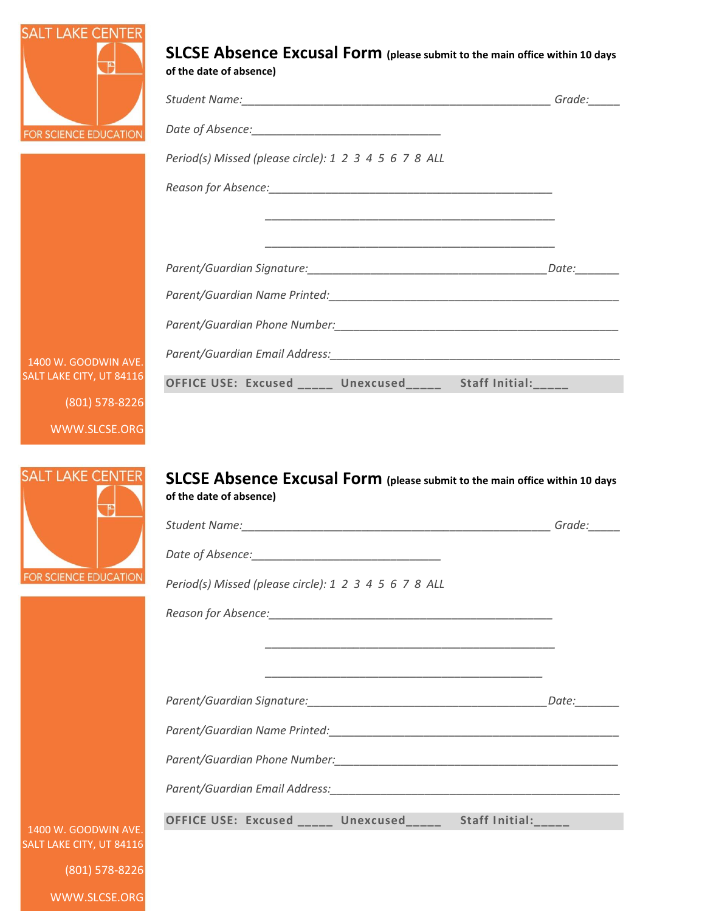

1400 W. GOOD SALT LAKE CITY,

 $(801)$ 

**SALT LAKE CENTER** 

FOR SCIENCE EDUCATIO

WWW.SLCSE.ORG

| <b>UCATION</b> |                                                       |  |
|----------------|-------------------------------------------------------|--|
|                | Period(s) Missed (please circle): 1 2 3 4 5 6 7 8 ALL |  |
|                |                                                       |  |
|                |                                                       |  |
|                |                                                       |  |
|                |                                                       |  |
|                |                                                       |  |
|                |                                                       |  |
|                |                                                       |  |
| WIN AVE.       |                                                       |  |

## **SLCSE Absence Excusal Form (please submit to the main office within 10 days of the date of absence)**

|                                                              | Grade: |
|--------------------------------------------------------------|--------|
|                                                              |        |
| Period(s) Missed (please circle): 1 2 3 4 5 6 7 8 ALL        |        |
|                                                              |        |
|                                                              |        |
|                                                              |        |
|                                                              |        |
|                                                              |        |
|                                                              |        |
|                                                              |        |
| OFFICE USE: Excused _____ Unexcused_____ Staff Initial:_____ |        |
|                                                              |        |

1400 W. GOODWIN AV SALT LAKE CITY, UT 841

(801) 578-8226

WWW.SLCSE.ORG